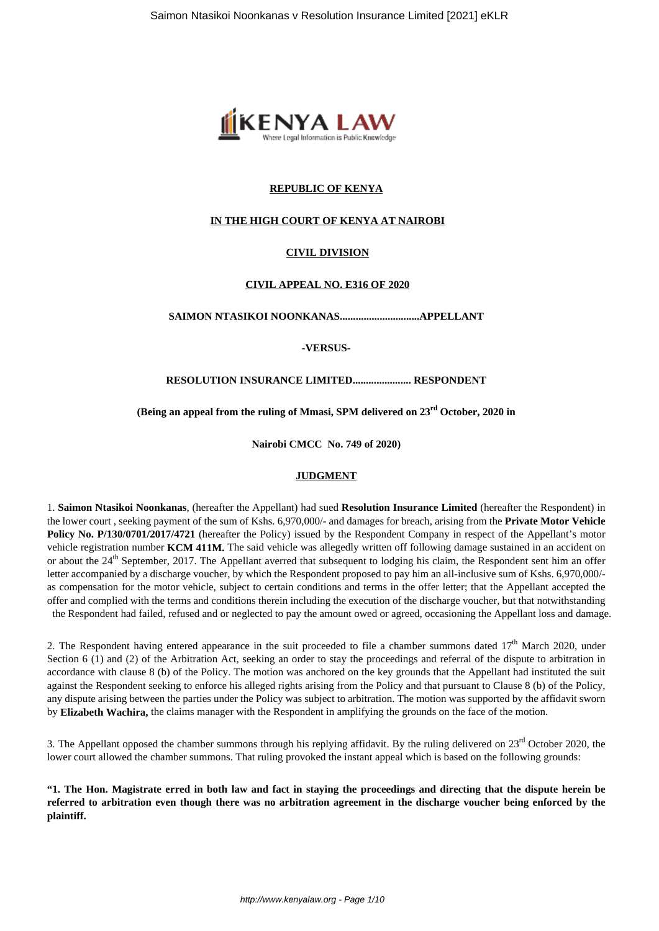

## **REPUBLIC OF KENYA**

## **IN THE HIGH COURT OF KENYA AT NAIROBI**

## **CIVIL DIVISION**

#### **CIVIL APPEAL NO. E316 OF 2020**

**SAIMON NTASIKOI NOONKANAS..............................APPELLANT**

**-VERSUS-**

#### **RESOLUTION INSURANCE LIMITED...................... RESPONDENT**

**(Being an appeal from the ruling of Mmasi, SPM delivered on 23rd October, 2020 in**

**Nairobi CMCC No. 749 of 2020)**

## **JUDGMENT**

1. **Saimon Ntasikoi Noonkanas**, (hereafter the Appellant) had sued **Resolution Insurance Limited** (hereafter the Respondent) in the lower court , seeking payment of the sum of Kshs. 6,970,000/- and damages for breach, arising from the **Private Motor Vehicle Policy No. P/130/0701/2017/4721** (hereafter the Policy) issued by the Respondent Company in respect of the Appellant's motor vehicle registration number **KCM 411M.** The said vehicle was allegedly written off following damage sustained in an accident on or about the 24<sup>th</sup> September, 2017. The Appellant averred that subsequent to lodging his claim, the Respondent sent him an offer letter accompanied by a discharge voucher, by which the Respondent proposed to pay him an all-inclusive sum of Kshs. 6,970,000/ as compensation for the motor vehicle, subject to certain conditions and terms in the offer letter; that the Appellant accepted the offer and complied with the terms and conditions therein including the execution of the discharge voucher, but that notwithstanding the Respondent had failed, refused and or neglected to pay the amount owed or agreed, occasioning the Appellant loss and damage.

2. The Respondent having entered appearance in the suit proceeded to file a chamber summons dated  $17<sup>th</sup>$  March 2020, under Section 6 (1) and (2) of the Arbitration Act, seeking an order to stay the proceedings and referral of the dispute to arbitration in accordance with clause 8 (b) of the Policy. The motion was anchored on the key grounds that the Appellant had instituted the suit against the Respondent seeking to enforce his alleged rights arising from the Policy and that pursuant to Clause 8 (b) of the Policy, any dispute arising between the parties under the Policy was subject to arbitration. The motion was supported by the affidavit sworn by **Elizabeth Wachira,** the claims manager with the Respondent in amplifying the grounds on the face of the motion.

3. The Appellant opposed the chamber summons through his replying affidavit. By the ruling delivered on  $23<sup>rd</sup>$  October 2020, the lower court allowed the chamber summons. That ruling provoked the instant appeal which is based on the following grounds:

**"1. The Hon. Magistrate erred in both law and fact in staying the proceedings and directing that the dispute herein be referred to arbitration even though there was no arbitration agreement in the discharge voucher being enforced by the plaintiff.**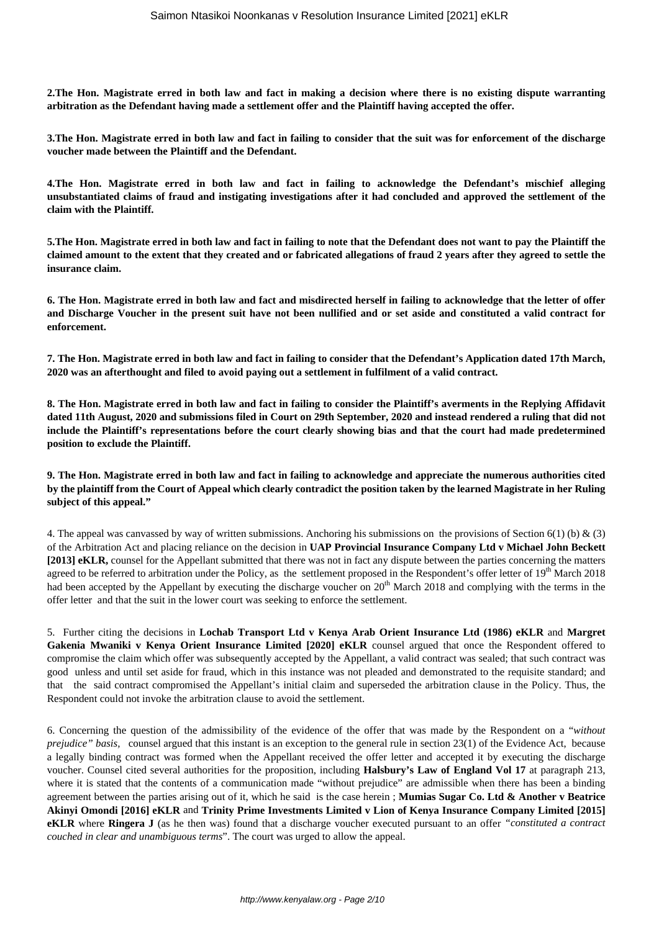**2.The Hon. Magistrate erred in both law and fact in making a decision where there is no existing dispute warranting arbitration as the Defendant having made a settlement offer and the Plaintiff having accepted the offer.**

**3.The Hon. Magistrate erred in both law and fact in failing to consider that the suit was for enforcement of the discharge voucher made between the Plaintiff and the Defendant.**

**4.The Hon. Magistrate erred in both law and fact in failing to acknowledge the Defendant's mischief alleging unsubstantiated claims of fraud and instigating investigations after it had concluded and approved the settlement of the claim with the Plaintiff.**

**5.The Hon. Magistrate erred in both law and fact in failing to note that the Defendant does not want to pay the Plaintiff the claimed amount to the extent that they created and or fabricated allegations of fraud 2 years after they agreed to settle the insurance claim.**

**6. The Hon. Magistrate erred in both law and fact and misdirected herself in failing to acknowledge that the letter of offer and Discharge Voucher in the present suit have not been nullified and or set aside and constituted a valid contract for enforcement.**

**7. The Hon. Magistrate erred in both law and fact in failing to consider that the Defendant's Application dated 17th March, 2020 was an afterthought and filed to avoid paying out a settlement in fulfilment of a valid contract.**

**8. The Hon. Magistrate erred in both law and fact in failing to consider the Plaintiff's averments in the Replying Affidavit dated 11th August, 2020 and submissions filed in Court on 29th September, 2020 and instead rendered a ruling that did not include the Plaintiff's representations before the court clearly showing bias and that the court had made predetermined position to exclude the Plaintiff.**

**9. The Hon. Magistrate erred in both law and fact in failing to acknowledge and appreciate the numerous authorities cited by the plaintiff from the Court of Appeal which clearly contradict the position taken by the learned Magistrate in her Ruling subject of this appeal."**

4. The appeal was canvassed by way of written submissions. Anchoring his submissions on the provisions of Section 6(1) (b) & (3) of the Arbitration Act and placing reliance on the decision in **UAP Provincial Insurance Company Ltd v Michael John Beckett [2013] eKLR,** counsel for the Appellant submitted that there was not in fact any dispute between the parties concerning the matters agreed to be referred to arbitration under the Policy, as the settlement proposed in the Respondent's offer letter of  $19<sup>th</sup>$  March 2018 had been accepted by the Appellant by executing the discharge voucher on 20<sup>th</sup> March 2018 and complying with the terms in the offer letter and that the suit in the lower court was seeking to enforce the settlement.

5. Further citing the decisions in **Lochab Transport Ltd v Kenya Arab Orient Insurance Ltd (1986) eKLR** and **Margret Gakenia Mwaniki v Kenya Orient Insurance Limited [2020] eKLR** counsel argued that once the Respondent offered to compromise the claim which offer was subsequently accepted by the Appellant, a valid contract was sealed; that such contract was good unless and until set aside for fraud, which in this instance was not pleaded and demonstrated to the requisite standard; and that the said contract compromised the Appellant's initial claim and superseded the arbitration clause in the Policy. Thus, the Respondent could not invoke the arbitration clause to avoid the settlement.

6. Concerning the question of the admissibility of the evidence of the offer that was made by the Respondent on a "*without prejudice" basis,* counsel argued that this instant is an exception to the general rule in section 23(1) of the Evidence Act, because a legally binding contract was formed when the Appellant received the offer letter and accepted it by executing the discharge voucher. Counsel cited several authorities for the proposition, including **Halsbury's Law of England Vol 17** at paragraph 213, where it is stated that the contents of a communication made "without prejudice" are admissible when there has been a binding agreement between the parties arising out of it, which he said is the case herein ; **Mumias Sugar Co. Ltd & Another v Beatrice Akinyi Omondi [2016] eKLR** and **Trinity Prime Investments Limited v Lion of Kenya Insurance Company Limited [2015] eKLR** where **Ringera J** (as he then was) found that a discharge voucher executed pursuant to an offer *"constituted a contract couched in clear and unambiguous terms*". The court was urged to allow the appeal.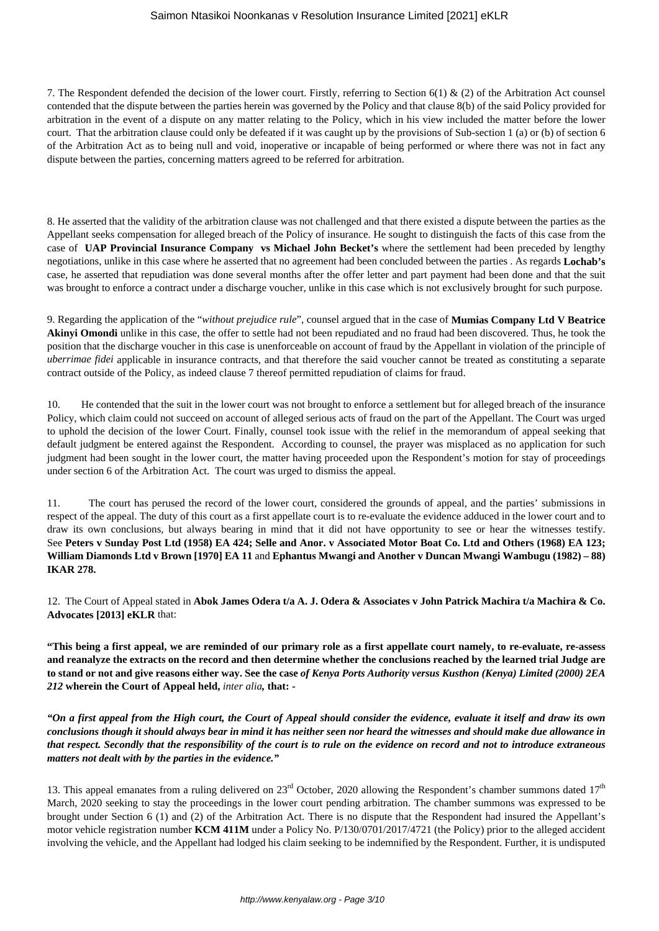## Saimon Ntasikoi Noonkanas v Resolution Insurance Limited [2021] eKLR

7. The Respondent defended the decision of the lower court. Firstly, referring to Section 6(1) & (2) of the Arbitration Act counsel contended that the dispute between the parties herein was governed by the Policy and that clause 8(b) of the said Policy provided for arbitration in the event of a dispute on any matter relating to the Policy, which in his view included the matter before the lower court. That the arbitration clause could only be defeated if it was caught up by the provisions of Sub-section 1 (a) or (b) of section 6 of the Arbitration Act as to being null and void, inoperative or incapable of being performed or where there was not in fact any dispute between the parties, concerning matters agreed to be referred for arbitration.

8. He asserted that the validity of the arbitration clause was not challenged and that there existed a dispute between the parties as the Appellant seeks compensation for alleged breach of the Policy of insurance. He sought to distinguish the facts of this case from the case of **UAP Provincial Insurance Company vs Michael John Becket's** where the settlement had been preceded by lengthy negotiations, unlike in this case where he asserted that no agreement had been concluded between the parties . As regards **Lochab's** case, he asserted that repudiation was done several months after the offer letter and part payment had been done and that the suit was brought to enforce a contract under a discharge voucher, unlike in this case which is not exclusively brought for such purpose.

9. Regarding the application of the "*without prejudice rule*", counsel argued that in the case of **Mumias Company Ltd V Beatrice** Akinyi Omondi unlike in this case, the offer to settle had not been repudiated and no fraud had been discovered. Thus, he took the position that the discharge voucher in this case is unenforceable on account of fraud by the Appellant in violation of the principle of *uberrimae fidei* applicable in insurance contracts, and that therefore the said voucher cannot be treated as constituting a separate contract outside of the Policy, as indeed clause 7 thereof permitted repudiation of claims for fraud.

10. He contended that the suit in the lower court was not brought to enforce a settlement but for alleged breach of the insurance Policy, which claim could not succeed on account of alleged serious acts of fraud on the part of the Appellant. The Court was urged to uphold the decision of the lower Court. Finally, counsel took issue with the relief in the memorandum of appeal seeking that default judgment be entered against the Respondent. According to counsel, the prayer was misplaced as no application for such judgment had been sought in the lower court, the matter having proceeded upon the Respondent's motion for stay of proceedings under section 6 of the Arbitration Act. The court was urged to dismiss the appeal.

11. The court has perused the record of the lower court, considered the grounds of appeal, and the parties' submissions in respect of the appeal. The duty of this court as a first appellate court is to re-evaluate the evidence adduced in the lower court and to draw its own conclusions, but always bearing in mind that it did not have opportunity to see or hear the witnesses testify. See **Peters v Sunday Post Ltd (1958) EA 424; Selle and Anor. v Associated Motor Boat Co. Ltd and Others (1968) EA 123; William Diamonds Ltd v Brown [1970] EA 11** and **Ephantus Mwangi and Another v Duncan Mwangi Wambugu (1982) – 88) IKAR 278.**

12. The Court of Appeal stated in **Abok James Odera t/a A. J. Odera & Associates v John Patrick Machira t/a Machira & Co. Advocates [2013] eKLR** that:

**"This being a first appeal, we are reminded of our primary role as a first appellate court namely, to re-evaluate, re-assess and reanalyze the extracts on the record and then determine whether the conclusions reached by the learned trial Judge are to stand or not and give reasons either way. See the case** *of Kenya Ports Authority versus Kusthon (Kenya) Limited (2000) 2EA 212* **wherein the Court of Appeal held,** *inter alia,* **that: -**

*"On a first appeal from the High court, the Court of Appeal should consider the evidence, evaluate it itself and draw its own conclusions though it should always bear in mind it has neither seen nor heard the witnesses and should make due allowance in that respect. Secondly that the responsibility of the court is to rule on the evidence on record and not to introduce extraneous matters not dealt with by the parties in the evidence."*

13. This appeal emanates from a ruling delivered on  $23<sup>rd</sup>$  October, 2020 allowing the Respondent's chamber summons dated  $17<sup>th</sup>$ March, 2020 seeking to stay the proceedings in the lower court pending arbitration. The chamber summons was expressed to be brought under Section 6 (1) and (2) of the Arbitration Act. There is no dispute that the Respondent had insured the Appellant's motor vehicle registration number **KCM 411M** under a Policy No. P/130/0701/2017/4721 (the Policy) prior to the alleged accident involving the vehicle, and the Appellant had lodged his claim seeking to be indemnified by the Respondent. Further, it is undisputed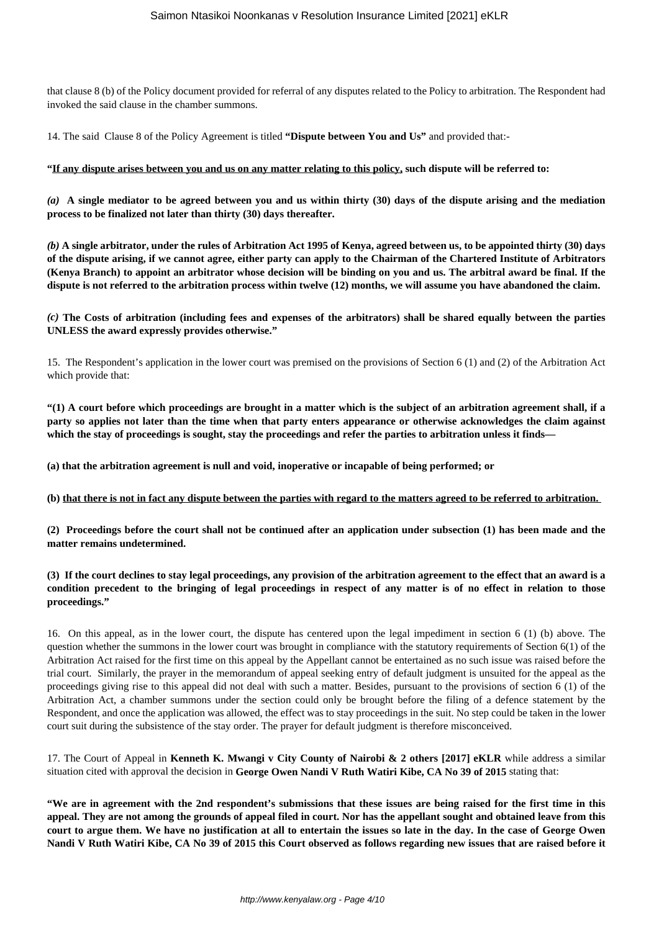that clause 8 (b) of the Policy document provided for referral of any disputes related to the Policy to arbitration. The Respondent had invoked the said clause in the chamber summons.

14. The said Clause 8 of the Policy Agreement is titled **"Dispute between You and Us"** and provided that:-

#### **"If any dispute arises between you and us on any matter relating to this policy, such dispute will be referred to:**

*(a)* **A single mediator to be agreed between you and us within thirty (30) days of the dispute arising and the mediation process to be finalized not later than thirty (30) days thereafter.**

*(b)* **A single arbitrator, under the rules of Arbitration Act 1995 of Kenya, agreed between us, to be appointed thirty (30) days of the dispute arising, if we cannot agree, either party can apply to the Chairman of the Chartered Institute of Arbitrators (Kenya Branch) to appoint an arbitrator whose decision will be binding on you and us. The arbitral award be final. If the dispute is not referred to the arbitration process within twelve (12) months, we will assume you have abandoned the claim.**

*(c)* **The Costs of arbitration (including fees and expenses of the arbitrators) shall be shared equally between the parties UNLESS the award expressly provides otherwise."**

15. The Respondent's application in the lower court was premised on the provisions of Section 6 (1) and (2) of the Arbitration Act which provide that:

**"(1) A court before which proceedings are brought in a matter which is the subject of an arbitration agreement shall, if a party so applies not later than the time when that party enters appearance or otherwise acknowledges the claim against** which the stay of proceedings is sought, stay the proceedings and refer the parties to arbitration unless it finds—

**(a) that the arbitration agreement is null and void, inoperative or incapable of being performed; or** 

**(b) that there is not in fact any dispute between the parties with regard to the matters agreed to be referred to arbitration.** 

**(2) Proceedings before the court shall not be continued after an application under subsection (1) has been made and the matter remains undetermined.** 

**(3) If the court declines to stay legal proceedings, any provision of the arbitration agreement to the effect that an award is a condition precedent to the bringing of legal proceedings in respect of any matter is of no effect in relation to those proceedings."**

16. On this appeal, as in the lower court, the dispute has centered upon the legal impediment in section 6 (1) (b) above. The question whether the summons in the lower court was brought in compliance with the statutory requirements of Section 6(1) of the Arbitration Act raised for the first time on this appeal by the Appellant cannot be entertained as no such issue was raised before the trial court. Similarly, the prayer in the memorandum of appeal seeking entry of default judgment is unsuited for the appeal as the proceedings giving rise to this appeal did not deal with such a matter. Besides, pursuant to the provisions of section 6 (1) of the Arbitration Act, a chamber summons under the section could only be brought before the filing of a defence statement by the Respondent, and once the application was allowed, the effect was to stay proceedings in the suit. No step could be taken in the lower court suit during the subsistence of the stay order. The prayer for default judgment is therefore misconceived.

17. The Court of Appeal in **Kenneth K. Mwangi v City County of Nairobi & 2 others [2017] eKLR** while address a similar situation cited with approval the decision in **George Owen Nandi V Ruth Watiri Kibe, CA No 39 of 2015** stating that:

**"We are in agreement with the 2nd respondent's submissions that these issues are being raised for the first time in this appeal. They are not among the grounds of appeal filed in court. Nor has the appellant sought and obtained leave from this court to argue them. We have no justification at all to entertain the issues so late in the day. In the case of George Owen Nandi V Ruth Watiri Kibe, CA No 39 of 2015 this Court observed as follows regarding new issues that are raised before it**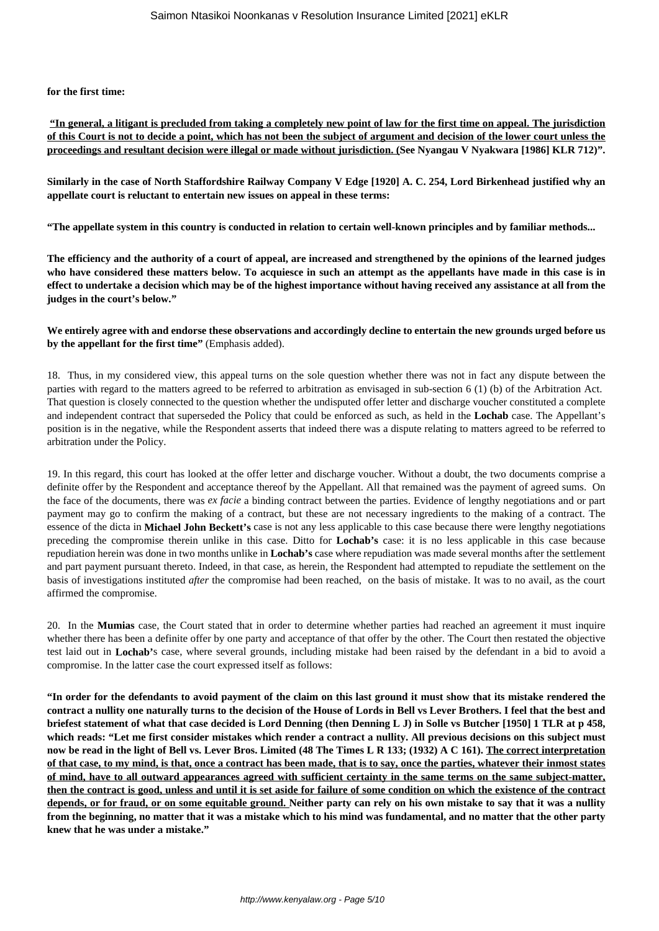**for the first time:**

**"In general, a litigant is precluded from taking a completely new point of law for the first time on appeal. The jurisdiction of this Court is not to decide a point, which has not been the subject of argument and decision of the lower court unless the proceedings and resultant decision were illegal or made without jurisdiction. (See Nyangau V Nyakwara [1986] KLR 712)".**

**Similarly in the case of North Staffordshire Railway Company V Edge [1920] A. C. 254, Lord Birkenhead justified why an appellate court is reluctant to entertain new issues on appeal in these terms:**

**"The appellate system in this country is conducted in relation to certain well-known principles and by familiar methods...**

**The efficiency and the authority of a court of appeal, are increased and strengthened by the opinions of the learned judges who have considered these matters below. To acquiesce in such an attempt as the appellants have made in this case is in effect to undertake a decision which may be of the highest importance without having received any assistance at all from the judges in the court's below."**

## **We entirely agree with and endorse these observations and accordingly decline to entertain the new grounds urged before us by the appellant for the first time"** (Emphasis added).

18. Thus, in my considered view, this appeal turns on the sole question whether there was not in fact any dispute between the parties with regard to the matters agreed to be referred to arbitration as envisaged in sub-section 6 (1) (b) of the Arbitration Act. That question is closely connected to the question whether the undisputed offer letter and discharge voucher constituted a complete and independent contract that superseded the Policy that could be enforced as such, as held in the **Lochab** case. The Appellant's position is in the negative, while the Respondent asserts that indeed there was a dispute relating to matters agreed to be referred to arbitration under the Policy.

19. In this regard, this court has looked at the offer letter and discharge voucher. Without a doubt, the two documents comprise a definite offer by the Respondent and acceptance thereof by the Appellant. All that remained was the payment of agreed sums. On the face of the documents, there was *ex facie* a binding contract between the parties. Evidence of lengthy negotiations and or part payment may go to confirm the making of a contract, but these are not necessary ingredients to the making of a contract. The essence of the dicta in **Michael John Beckett's** case is not any less applicable to this case because there were lengthy negotiations preceding the compromise therein unlike in this case. Ditto for **Lochab's** case: it is no less applicable in this case because repudiation herein was done in two months unlike in **Lochab's** case where repudiation was made several months after the settlement and part payment pursuant thereto. Indeed, in that case, as herein, the Respondent had attempted to repudiate the settlement on the basis of investigations instituted *after* the compromise had been reached, on the basis of mistake. It was to no avail, as the court affirmed the compromise.

20. In the **Mumias** case, the Court stated that in order to determine whether parties had reached an agreement it must inquire whether there has been a definite offer by one party and acceptance of that offer by the other. The Court then restated the objective test laid out in **Lochab'**s case, where several grounds, including mistake had been raised by the defendant in a bid to avoid a compromise. In the latter case the court expressed itself as follows:

**"In order for the defendants to avoid payment of the claim on this last ground it must show that its mistake rendered the contract a nullity one naturally turns to the decision of the House of Lords in Bell vs Lever Brothers. I feel that the best and briefest statement of what that case decided is Lord Denning (then Denning L J) in Solle vs Butcher [1950] 1 TLR at p 458, which reads: "Let me first consider mistakes which render a contract a nullity. All previous decisions on this subject must now be read in the light of Bell vs. Lever Bros. Limited (48 The Times L R 133; (1932) A C 161). The correct interpretation of that case, to my mind, is that, once a contract has been made, that is to say, once the parties, whatever their inmost states of mind, have to all outward appearances agreed with sufficient certainty in the same terms on the same subject-matter, then the contract is good, unless and until it is set aside for failure of some condition on which the existence of the contract depends, or for fraud, or on some equitable ground. Neither party can rely on his own mistake to say that it was a nullity from the beginning, no matter that it was a mistake which to his mind was fundamental, and no matter that the other party knew that he was under a mistake."**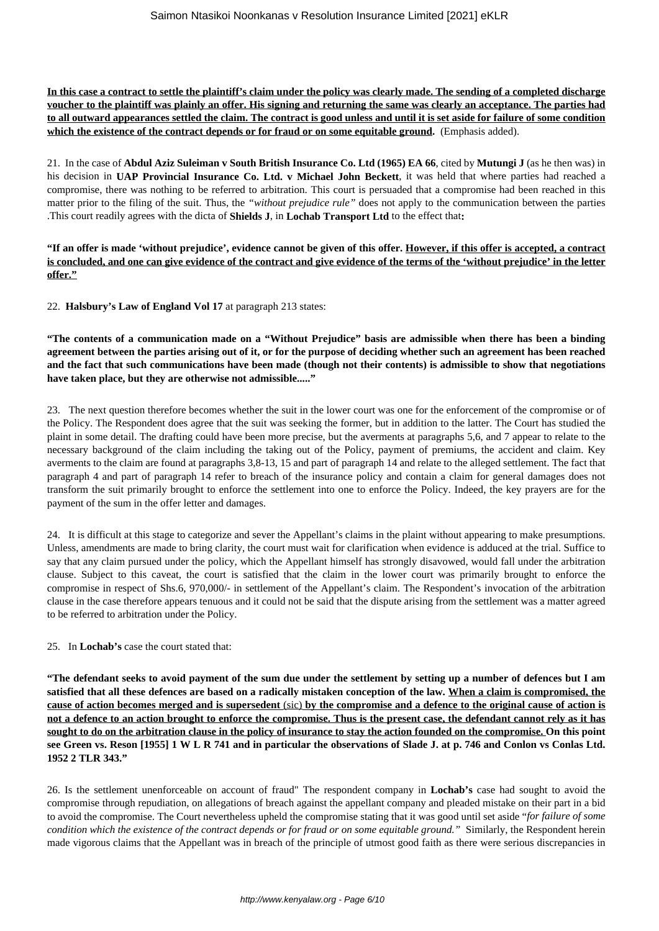**In this case a contract to settle the plaintiff's claim under the policy was clearly made. The sending of a completed discharge voucher to the plaintiff was plainly an offer. His signing and returning the same was clearly an acceptance. The parties had to all outward appearances settled the claim. The contract is good unless and until it is set aside for failure of some condition which the existence of the contract depends or for fraud or on some equitable ground.** (Emphasis added).

21. In the case of **Abdul Aziz Suleiman v South British Insurance Co. Ltd (1965) EA 66**, cited by **Mutungi J** (as he then was) in his decision in **UAP Provincial Insurance Co. Ltd. v Michael John Beckett**, it was held that where parties had reached a compromise, there was nothing to be referred to arbitration. This court is persuaded that a compromise had been reached in this matter prior to the filing of the suit. Thus, the *"without prejudice rule"* does not apply to the communication between the parties .This court readily agrees with the dicta of **Shields J**, in **Lochab Transport Ltd** to the effect that**:**

**"If an offer is made 'without prejudice', evidence cannot be given of this offer. However, if this offer is accepted, a contract is concluded, and one can give evidence of the contract and give evidence of the terms of the 'without prejudice' in the letter offer."**

22. **Halsbury's Law of England Vol 17** at paragraph 213 states:

**"The contents of a communication made on a "Without Prejudice" basis are admissible when there has been a binding agreement between the parties arising out of it, or for the purpose of deciding whether such an agreement has been reached and the fact that such communications have been made (though not their contents) is admissible to show that negotiations have taken place, but they are otherwise not admissible....."**

23. The next question therefore becomes whether the suit in the lower court was one for the enforcement of the compromise or of the Policy. The Respondent does agree that the suit was seeking the former, but in addition to the latter. The Court has studied the plaint in some detail. The drafting could have been more precise, but the averments at paragraphs 5,6, and 7 appear to relate to the necessary background of the claim including the taking out of the Policy, payment of premiums, the accident and claim. Key averments to the claim are found at paragraphs 3,8-13, 15 and part of paragraph 14 and relate to the alleged settlement. The fact that paragraph 4 and part of paragraph 14 refer to breach of the insurance policy and contain a claim for general damages does not transform the suit primarily brought to enforce the settlement into one to enforce the Policy. Indeed, the key prayers are for the payment of the sum in the offer letter and damages.

24. It is difficult at this stage to categorize and sever the Appellant's claims in the plaint without appearing to make presumptions. Unless, amendments are made to bring clarity, the court must wait for clarification when evidence is adduced at the trial. Suffice to say that any claim pursued under the policy, which the Appellant himself has strongly disavowed, would fall under the arbitration clause. Subject to this caveat, the court is satisfied that the claim in the lower court was primarily brought to enforce the compromise in respect of Shs.6, 970,000/- in settlement of the Appellant's claim. The Respondent's invocation of the arbitration clause in the case therefore appears tenuous and it could not be said that the dispute arising from the settlement was a matter agreed to be referred to arbitration under the Policy.

#### 25. In **Lochab's** case the court stated that:

**"The defendant seeks to avoid payment of the sum due under the settlement by setting up a number of defences but I am satisfied that all these defences are based on a radically mistaken conception of the law. When a claim is compromised, the cause of action becomes merged and is supersedent** (sic) **by the compromise and a defence to the original cause of action is not a defence to an action brought to enforce the compromise. Thus is the present case, the defendant cannot rely as it has sought to do on the arbitration clause in the policy of insurance to stay the action founded on the compromise. On this point see Green vs. Reson [1955] 1 W L R 741 and in particular the observations of Slade J. at p. 746 and Conlon vs Conlas Ltd. 1952 2 TLR 343."**

26. Is the settlement unenforceable on account of fraud" The respondent company in **Lochab's** case had sought to avoid the compromise through repudiation, on allegations of breach against the appellant company and pleaded mistake on their part in a bid to avoid the compromise. The Court nevertheless upheld the compromise stating that it was good until set aside "*for failure of some condition which the existence of the contract depends or for fraud or on some equitable ground."* Similarly, the Respondent herein made vigorous claims that the Appellant was in breach of the principle of utmost good faith as there were serious discrepancies in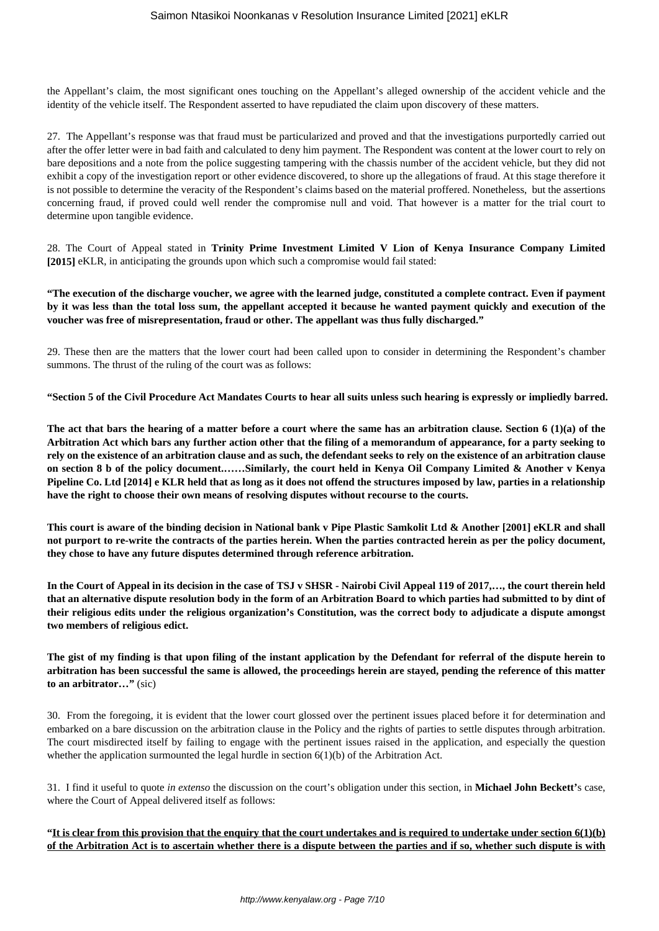the Appellant's claim, the most significant ones touching on the Appellant's alleged ownership of the accident vehicle and the identity of the vehicle itself. The Respondent asserted to have repudiated the claim upon discovery of these matters.

27. The Appellant's response was that fraud must be particularized and proved and that the investigations purportedly carried out after the offer letter were in bad faith and calculated to deny him payment. The Respondent was content at the lower court to rely on bare depositions and a note from the police suggesting tampering with the chassis number of the accident vehicle, but they did not exhibit a copy of the investigation report or other evidence discovered, to shore up the allegations of fraud. At this stage therefore it is not possible to determine the veracity of the Respondent's claims based on the material proffered. Nonetheless, but the assertions concerning fraud, if proved could well render the compromise null and void. That however is a matter for the trial court to determine upon tangible evidence.

28. The Court of Appeal stated in **Trinity Prime Investment Limited V Lion of Kenya Insurance Company Limited [2015]** eKLR, in anticipating the grounds upon which such a compromise would fail stated:

**"The execution of the discharge voucher, we agree with the learned judge, constituted a complete contract. Even if payment by it was less than the total loss sum, the appellant accepted it because he wanted payment quickly and execution of the voucher was free of misrepresentation, fraud or other. The appellant was thus fully discharged."**

29. These then are the matters that the lower court had been called upon to consider in determining the Respondent's chamber summons. The thrust of the ruling of the court was as follows:

**"Section 5 of the Civil Procedure Act Mandates Courts to hear all suits unless such hearing is expressly or impliedly barred.**

**The act that bars the hearing of a matter before a court where the same has an arbitration clause. Section 6 (1)(a) of the Arbitration Act which bars any further action other that the filing of a memorandum of appearance, for a party seeking to rely on the existence of an arbitration clause and as such, the defendant seeks to rely on the existence of an arbitration clause on section 8 b of the policy document.……Similarly, the court held in Kenya Oil Company Limited & Another v Kenya Pipeline Co. Ltd [2014] e KLR held that as long as it does not offend the structures imposed by law, parties in a relationship have the right to choose their own means of resolving disputes without recourse to the courts.**

**This court is aware of the binding decision in National bank v Pipe Plastic Samkolit Ltd & Another [2001] eKLR and shall not purport to re-write the contracts of the parties herein. When the parties contracted herein as per the policy document, they chose to have any future disputes determined through reference arbitration.**

**In the Court of Appeal in its decision in the case of TSJ v SHSR - Nairobi Civil Appeal 119 of 2017,…, the court therein held that an alternative dispute resolution body in the form of an Arbitration Board to which parties had submitted to by dint of their religious edits under the religious organization's Constitution, was the correct body to adjudicate a dispute amongst two members of religious edict.**

**The gist of my finding is that upon filing of the instant application by the Defendant for referral of the dispute herein to arbitration has been successful the same is allowed, the proceedings herein are stayed, pending the reference of this matter to an arbitrator…"** (sic)

30. From the foregoing, it is evident that the lower court glossed over the pertinent issues placed before it for determination and embarked on a bare discussion on the arbitration clause in the Policy and the rights of parties to settle disputes through arbitration. The court misdirected itself by failing to engage with the pertinent issues raised in the application, and especially the question whether the application surmounted the legal hurdle in section  $6(1)(b)$  of the Arbitration Act.

31. I find it useful to quote *in extenso* the discussion on the court's obligation under this section, in **Michael John Beckett'**s case, where the Court of Appeal delivered itself as follows:

**"It is clear from this provision that the enquiry that the court undertakes and is required to undertake under section 6(1)(b) of the Arbitration Act is to ascertain whether there is a dispute between the parties and if so, whether such dispute is with**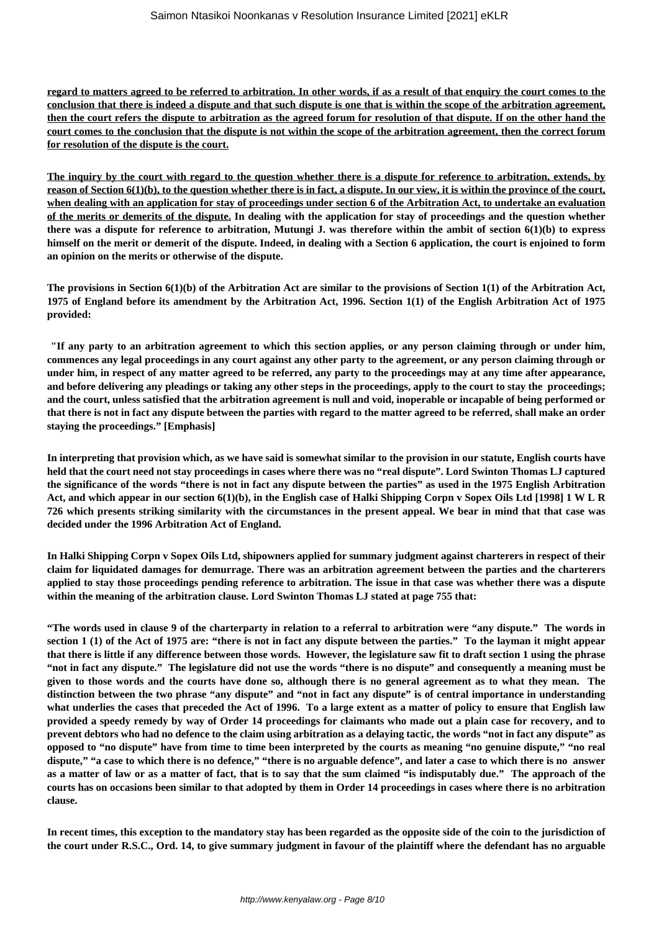**regard to matters agreed to be referred to arbitration. In other words, if as a result of that enquiry the court comes to the conclusion that there is indeed a dispute and that such dispute is one that is within the scope of the arbitration agreement, then the court refers the dispute to arbitration as the agreed forum for resolution of that dispute. If on the other hand the court comes to the conclusion that the dispute is not within the scope of the arbitration agreement, then the correct forum for resolution of the dispute is the court.**

**The inquiry by the court with regard to the question whether there is a dispute for reference to arbitration, extends, by reason of Section 6(1)(b), to the question whether there is in fact, a dispute. In our view, it is within the province of the court, when dealing with an application for stay of proceedings under section 6 of the Arbitration Act, to undertake an evaluation of the merits or demerits of the dispute. In dealing with the application for stay of proceedings and the question whether there was a dispute for reference to arbitration, Mutungi J. was therefore within the ambit of section 6(1)(b) to express himself on the merit or demerit of the dispute. Indeed, in dealing with a Section 6 application, the court is enjoined to form an opinion on the merits or otherwise of the dispute.**

**The provisions in Section 6(1)(b) of the Arbitration Act are similar to the provisions of Section 1(1) of the Arbitration Act, 1975 of England before its amendment by the Arbitration Act, 1996. Section 1(1) of the English Arbitration Act of 1975 provided:**

**"If any party to an arbitration agreement to which this section applies, or any person claiming through or under him, commences any legal proceedings in any court against any other party to the agreement, or any person claiming through or under him, in respect of any matter agreed to be referred, any party to the proceedings may at any time after appearance, and before delivering any pleadings or taking any other steps in the proceedings, apply to the court to stay the proceedings; and the court, unless satisfied that the arbitration agreement is null and void, inoperable or incapable of being performed or that there is not in fact any dispute between the parties with regard to the matter agreed to be referred, shall make an order staying the proceedings." [Emphasis]**

**In interpreting that provision which, as we have said is somewhat similar to the provision in our statute, English courts have held that the court need not stay proceedings in cases where there was no "real dispute". Lord Swinton Thomas LJ captured the significance of the words "there is not in fact any dispute between the parties" as used in the 1975 English Arbitration Act, and which appear in our section 6(1)(b), in the English case of Halki Shipping Corpn v Sopex Oils Ltd [1998] 1 W L R 726 which presents striking similarity with the circumstances in the present appeal. We bear in mind that that case was decided under the 1996 Arbitration Act of England.**

**In Halki Shipping Corpn v Sopex Oils Ltd, shipowners applied for summary judgment against charterers in respect of their claim for liquidated damages for demurrage. There was an arbitration agreement between the parties and the charterers applied to stay those proceedings pending reference to arbitration. The issue in that case was whether there was a dispute within the meaning of the arbitration clause. Lord Swinton Thomas LJ stated at page 755 that:**

**"The words used in clause 9 of the charterparty in relation to a referral to arbitration were "any dispute." The words in section 1 (1) of the Act of 1975 are: "there is not in fact any dispute between the parties." To the layman it might appear that there is little if any difference between those words. However, the legislature saw fit to draft section 1 using the phrase "not in fact any dispute." The legislature did not use the words "there is no dispute" and consequently a meaning must be given to those words and the courts have done so, although there is no general agreement as to what they mean. The distinction between the two phrase "any dispute" and "not in fact any dispute" is of central importance in understanding what underlies the cases that preceded the Act of 1996. To a large extent as a matter of policy to ensure that English law provided a speedy remedy by way of Order 14 proceedings for claimants who made out a plain case for recovery, and to prevent debtors who had no defence to the claim using arbitration as a delaying tactic, the words "not in fact any dispute" as opposed to "no dispute" have from time to time been interpreted by the courts as meaning "no genuine dispute," "no real dispute," "a case to which there is no defence," "there is no arguable defence", and later a case to which there is no answer as a matter of law or as a matter of fact, that is to say that the sum claimed "is indisputably due." The approach of the courts has on occasions been similar to that adopted by them in Order 14 proceedings in cases where there is no arbitration clause.**

**In recent times, this exception to the mandatory stay has been regarded as the opposite side of the coin to the jurisdiction of the court under R.S.C., Ord. 14, to give summary judgment in favour of the plaintiff where the defendant has no arguable**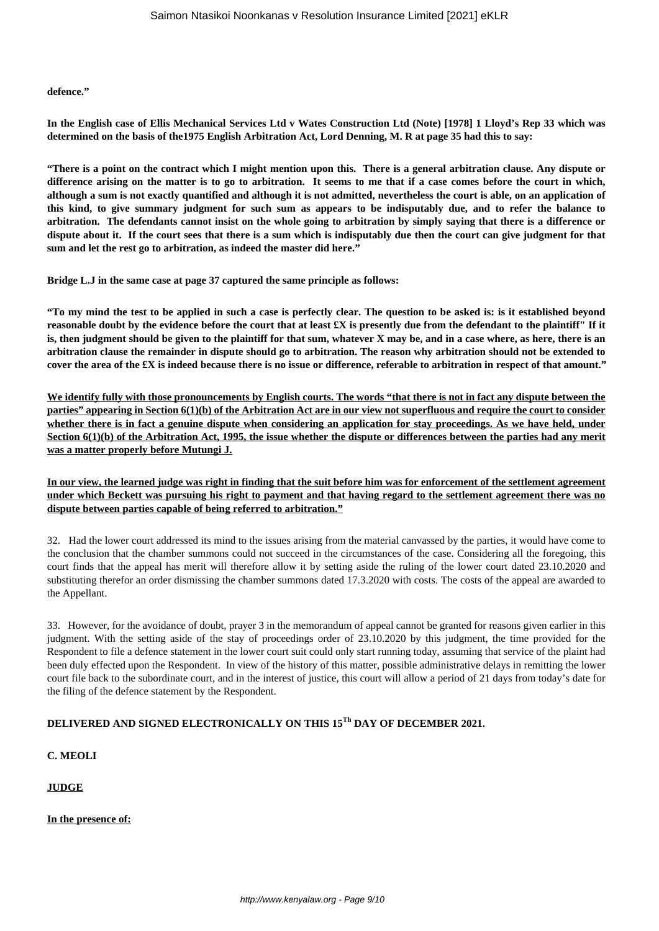#### **defence."**

**In the English case of Ellis Mechanical Services Ltd v Wates Construction Ltd (Note) [1978] 1 Lloyd's Rep 33 which was determined on the basis of the1975 English Arbitration Act, Lord Denning, M. R at page 35 had this to say:**

**"There is a point on the contract which I might mention upon this. There is a general arbitration clause. Any dispute or difference arising on the matter is to go to arbitration. It seems to me that if a case comes before the court in which, although a sum is not exactly quantified and although it is not admitted, nevertheless the court is able, on an application of this kind, to give summary judgment for such sum as appears to be indisputably due, and to refer the balance to arbitration. The defendants cannot insist on the whole going to arbitration by simply saying that there is a difference or dispute about it. If the court sees that there is a sum which is indisputably due then the court can give judgment for that sum and let the rest go to arbitration, as indeed the master did here."**

**Bridge L.J in the same case at page 37 captured the same principle as follows:**

**"To my mind the test to be applied in such a case is perfectly clear. The question to be asked is: is it established beyond reasonable doubt by the evidence before the court that at least £X is presently due from the defendant to the plaintiff" If it is, then judgment should be given to the plaintiff for that sum, whatever X may be, and in a case where, as here, there is an arbitration clause the remainder in dispute should go to arbitration. The reason why arbitration should not be extended to cover the area of the £X is indeed because there is no issue or difference, referable to arbitration in respect of that amount."**

**We identify fully with those pronouncements by English courts. The words "that there is not in fact any dispute between the parties" appearing in Section 6(1)(b) of the Arbitration Act are in our view not superfluous and require the court to consider whether there is in fact a genuine dispute when considering an application for stay proceedings. As we have held, under Section 6(1)(b) of the Arbitration Act, 1995, the issue whether the dispute or differences between the parties had any merit was a matter properly before Mutungi J.**

**In our view, the learned judge was right in finding that the suit before him was for enforcement of the settlement agreement under which Beckett was pursuing his right to payment and that having regard to the settlement agreement there was no dispute between parties capable of being referred to arbitration."**

32. Had the lower court addressed its mind to the issues arising from the material canvassed by the parties, it would have come to the conclusion that the chamber summons could not succeed in the circumstances of the case. Considering all the foregoing, this court finds that the appeal has merit will therefore allow it by setting aside the ruling of the lower court dated 23.10.2020 and substituting therefor an order dismissing the chamber summons dated 17.3.2020 with costs. The costs of the appeal are awarded to the Appellant.

33. However, for the avoidance of doubt, prayer 3 in the memorandum of appeal cannot be granted for reasons given earlier in this judgment. With the setting aside of the stay of proceedings order of 23.10.2020 by this judgment, the time provided for the Respondent to file a defence statement in the lower court suit could only start running today, assuming that service of the plaint had been duly effected upon the Respondent. In view of the history of this matter, possible administrative delays in remitting the lower court file back to the subordinate court, and in the interest of justice, this court will allow a period of 21 days from today's date for the filing of the defence statement by the Respondent.

# **DELIVERED AND SIGNED ELECTRONICALLY ON THIS 15Th DAY OF DECEMBER 2021.**

## **C. MEOLI**

# **JUDGE**

**In the presence of:**